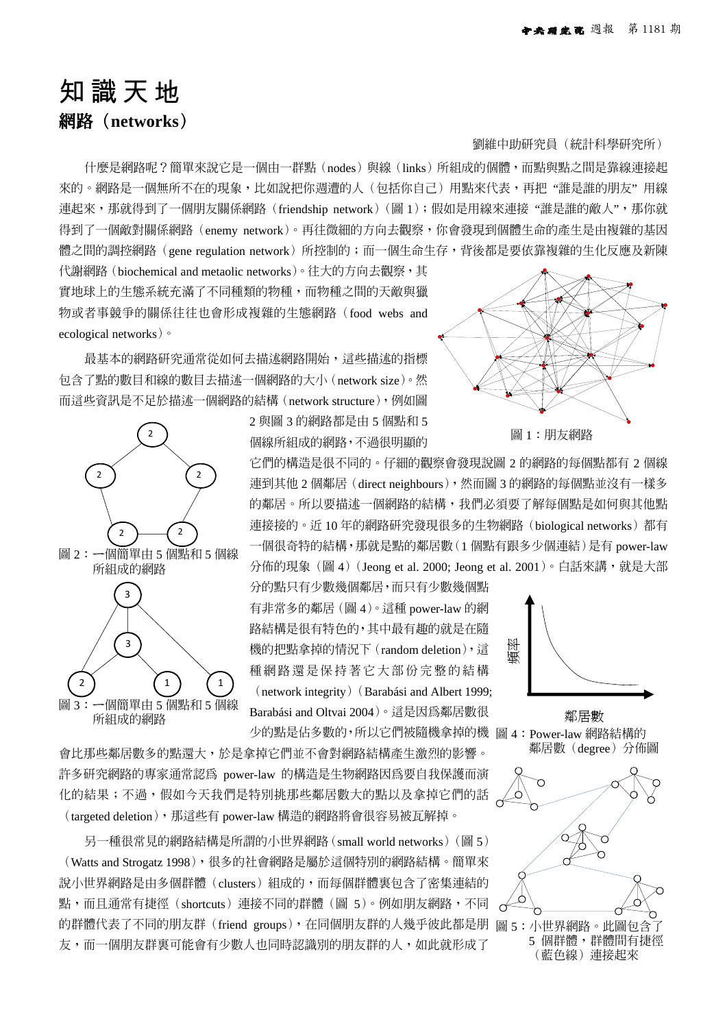## 知識天地

**網路(networks)**

什麼是網路呢?簡單來說它是一個由一群點(nodes)與線(links)所組成的個體,而點與點之間是靠線連接起 來的。網路是一個無所不在的現象,比如說把你週遭的人(包括你自己)用點來代表,再把"誰是誰的朋友"用線 連起來,那就得到了一個朋友關係網路 (friendship network) (圖 1); 假如是用線來連接 "誰是誰的敵人",那你就 得到了一個敵對關係網路(enemy network)。再往微細的方向去觀察,你會發現到個體生命的產生是由複雜的基因 體之間的調控網路 (gene regulation network) 所控制的;而一個生命生存,背後都是要依靠複雜的生化反應及新陳

代謝網路(biochemical and metaolic networks)。往大的方向去觀察,其 實地球上的生態系統充滿了不同種類的物種,而物種之間的天敵與獵 物或者事競爭的關係往往也會形成複雜的生態網路(food webs and ecological networks)。

最基本的網路研究通常從如何去描述網路開始,這些描述的指標 包含了點的數目和線的數目去描述一個網路的大小(network size)。然 而這些資訊是不足於描述一個網路的結構(network structure),例如圖



2 與圖 3 的網路都是由 5 個點和 5 個線所組成的網路,不過很明顯的

它們的構造是很不同的。仔細的觀察會發現說圖 2 的網路的每個點都有 2 個線 連到其他 2 個鄰居(direct neighbours),然而圖 3 的網路的每個點並沒有一樣多 的鄰居。所以要描述一個網路的結構,我們必須要了解每個點是如何與其他點 連接接的。近10年的網路研究發現很多的生物網路 (biological networks) 都有 一個很奇特的結構,那就是點的鄰居數(1 個點有跟多少個連結)是有 power-law 分佈的現象(圖 4) (Jeong et al. 2000; Jeong et al. 2001)。白話來講,就是大部

(3)<br>機的把點拿掉的情況下(random deletion),這 微<br>(metwork integrity)(Barabási and Albert 1999;<br>所組成的網路 Barabási and Oltvai 2004)。這是因爲鄰居數很 鄰居數 少的點是佔多數的,所以它們被隨機拿掉的機 圖 4:Power-law 網路結構的 分的點只有少數幾個鄰居,而只有少數幾個點 有非常多的鄰居(圖 4)。這種 power-law 的網 路結構是很有特色的,其中最有趣的就是在隨 機的把點拿掉的情況下(random deletion),這 種網路還是保持著它大部份完整的結構 (network integrity)(Barabási and Albert 1999; Barabási and Oltvai 2004)。這是因為鄰居數很

會比那些鄰居數多的點還大,於是拿掉它們並不會對網路結構產生激烈的影響。 許多研究網路的專家通常認為 power-law 的構造是生物網路因為要自我保護而演 化的結果;不過,假如今天我們是特別挑那些鄰居數大的點以及拿掉它們的話 (targeted deletion),那這些有 power-law 構造的網路將會很容易被瓦解掉。

的群體代表了不同的朋友群(friend groups),在同個朋友群的人幾乎彼此都是朋 圖 5:小世界網路。此圖包含了 另一種很常見的網路結構是所謂的小世界網路(small world networks)(圖 5) (Watts and Strogatz 1998),很多的社會網路是屬於這個特別的網路結構。簡單來 說小世界網路是由多個群體(clusters)組成的,而每個群體裏包含了密集連結的 點,而且通常有捷徑(shortcuts)連接不同的群體(圖 5)。例如朋友網路,不同 友,而一個朋友群裏可能會有少數人也同時認識別的朋友群的人,如此就形成了



劉維中助研究員(統計科學研究所)

圖 1:朋友網路



鄰居數(degree)分佈圖



5 個群體,群體間有捷徑 (藍色線)連接起來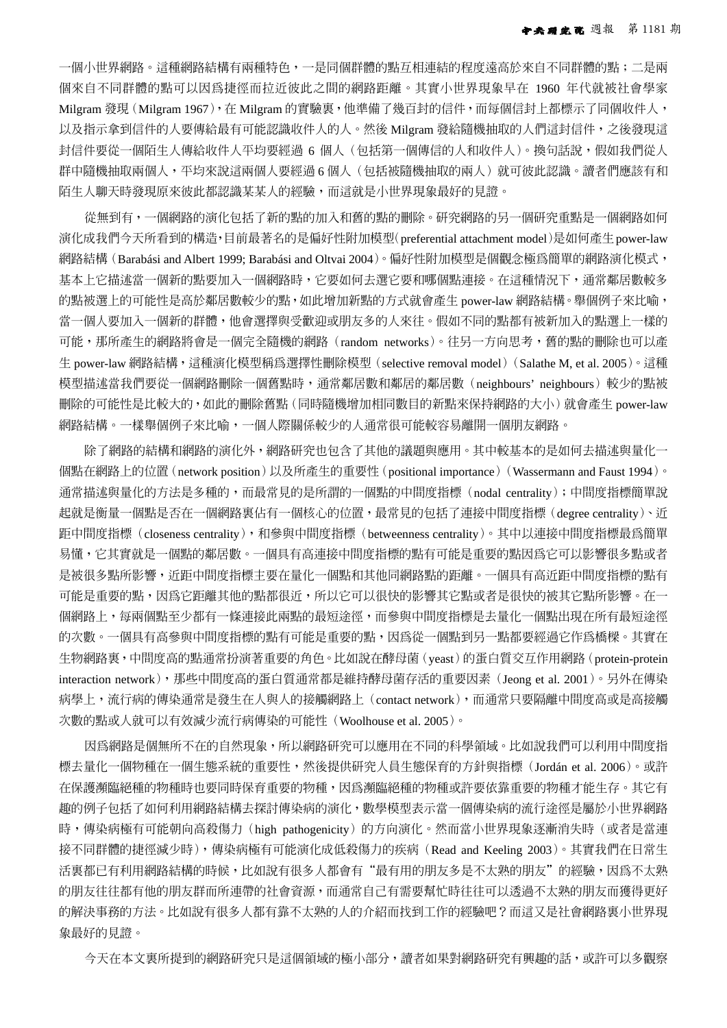一個小世界網路。這種網路結構有兩種特色,一是同個群體的點互相連結的程度遠高於來自不同群體的點;二是兩 個來自不同群體的點可以因為捷徑而拉近彼此之間的網路距離。其實小世界現象早在 1960 年代就被社會學家 Milgram 發現 (Milgram 1967), 在 Milgram 的實驗裏, 他準備了幾百封的信件, 而每個信封上都標示了同個收件人, 以及指示拿到信件的人要傳給最有可能認識收件人的人。然後 Milgram 發給隨機抽取的人們這封信件,之後發現這 封信件要從一個陌生人傳給收件人平均要經過 6 個人(包括第一個傳信的人和收件人)。換句話說,假如我們從人 群中隨機抽取兩個人,平均來說這兩個人要經過 6 個人(包括被隨機抽取的兩人)就可彼此認識。讀者們應該有和 陌生人聊天時發現原來彼此都認識某某人的經驗,而這就是小世界現象最好的見證。

從無到有,一個網路的演化包括了新的點的加入和舊的點的刪除。研究網路的另一個研究重點是一個網路如何 演化成我們今天所看到的構造,目前最著名的是偏好性附加模型(preferential attachment model)是如何產生power-law 網路結構 (Barabási and Albert 1999; Barabási and Oltvai 2004)。偏好性附加模型是個觀念極為簡單的網路演化模式, 基本上它描述當一個新的點要加入一個網路時,它要如何去選它要和哪個點連接。在這種情況下,通常鄰居數較多 的點被選上的可能性是高於鄰居數較少的點,如此增加新點的方式就會產生 power-law 網路結構。舉個例子來比喻, 當一個人要加入一個新的群體,他會選擇與受歡迎或朋友多的人來往。假如不同的點都有被新加入的點選上一樣的 可能,那所產生的網路將會是一個完全隨機的網路 (random networks)。往另一方向思考,舊的點的刪除也可以產 生 power-law 網路結構,這種演化模型稱爲選擇性刪除模型(selective removal model)(Salathe M, et al. 2005)。這種 模型描述當我們要從一個網路刪除一個舊點時,通常鄰居數和鄰居的鄰居數(neighbours' neighbours)較少的點被 刪除的可能性是比較大的,如此的刪除舊點(同時隨機增加相同數目的新點來保持網路的大小)就會產生 power-law 網路結構。一樣舉個例子來比喻,一個人際關係較少的人通常很可能較容易離開一個朋友網路。

除了網路的結構和網路的演化外,網路研究也包含了其他的議題與應用。其中較基本的是如何去描述與量化一 個點在網路上的位置(network position)以及所產生的重要性(positional importance)(Wassermann and Faust 1994)。 通常描述與量化的方法是多種的,而最常見的是所謂的一個點的中間度指標(nodal centrality);中間度指標簡單說 起就是衡量一個點是否在一個網路裏佔有一個核心的位置,最常見的包括了連接中間度指標(degree centrality)、近 距中間度指標(closeness centrality),和參與中間度指標(betweenness centrality)。其中以連接中間度指標最為簡單 易懂,它其實就是一個點的鄰居數。一個具有高連接中間度指標的點有可能是重要的點因為它可以影響很多點或者 是被很多點所影響,近距中間度指標主要在量化一個點和其他同網路點的距離。一個具有高近距中間度指標的點有 可能是重要的點,因為它距離其他的點都很近,所以它可以很快的影響其它點或者是很快的被其它點所影響。在一 個網路上,每兩個點至少都有一條連接此兩點的最短途徑,而參與中間度指標是去量化一個點出現在所有最短途徑 的次數。一個具有高參與中間度指標的點有可能是重要的點,因為從一個點到另一點都要經過它作為橋樑。其實在 生物網路裏,中間度高的點通常扮演著重要的角色。比如說在酵母菌(yeast)的蛋白質交互作用網路(protein-protein interaction network),那些中間度高的蛋白質通常都是維持酵母菌存活的重要因素(Jeong et al. 2001)。另外在傳染 病學上,流行病的傳染通常是發生在人與人的接觸網路上(contact network),而通常只要隔離中間度高或是高接觸 次數的點或人就可以有效減少流行病傳染的可能性(Woolhouse et al. 2005)。

因為網路是個無所不在的自然現象,所以網路研究可以應用在不同的科學領域。比如說我們可以利用中間度指 標去量化一個物種在一個生態系統的重要性,然後提供研究人員生態保育的方針與指標(Jordán et al. 2006)。或許 在保護瀕臨絕種的物種時也要同時保育重要的物種,因為瀕臨絕種的物種或許要依靠重要的物種才能生存。其它有 趣的例子包括了如何利用網路結構去探討傳染病的演化,數學模型表示當一個傳染病的流行途徑是屬於小世界網路 時,傳染病極有可能朝向高殺傷力(high pathogenicity)的方向演化。然而當小世界現象逐漸消失時(或者是當連 接不同群體的捷徑減少時),傳染病極有可能演化成低殺傷力的疾病(Read and Keeling 2003)。其實我們在日常生 活裏都已有利用網路結構的時候,比如說有很多人都會有"最有用的朋友多是不太熟的朋友"的經驗,因為不太熟 的朋友往往都有他的朋友群而所連帶的社會資源,而通常自己有需要幫忙時往往可以透過不太熟的朋友而獲得更好 的解決事務的方法。比如說有很多人都有靠不太熟的人的介紹而找到工作的經驗吧?而這又是社會網路裏小世界現 象最好的見證。

今天在本文裏所提到的網路研究只是這個領域的極小部分,讀者如果對網路研究有興趣的話,或許可以多觀察